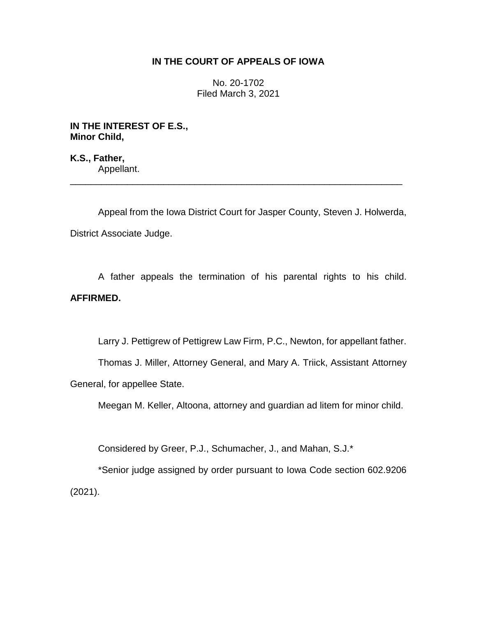# **IN THE COURT OF APPEALS OF IOWA**

No. 20-1702 Filed March 3, 2021

**IN THE INTEREST OF E.S., Minor Child,**

**K.S., Father,** Appellant. \_\_\_\_\_\_\_\_\_\_\_\_\_\_\_\_\_\_\_\_\_\_\_\_\_\_\_\_\_\_\_\_\_\_\_\_\_\_\_\_\_\_\_\_\_\_\_\_\_\_\_\_\_\_\_\_\_\_\_\_\_\_\_\_

Appeal from the Iowa District Court for Jasper County, Steven J. Holwerda, District Associate Judge.

A father appeals the termination of his parental rights to his child. **AFFIRMED.**

Larry J. Pettigrew of Pettigrew Law Firm, P.C., Newton, for appellant father.

Thomas J. Miller, Attorney General, and Mary A. Triick, Assistant Attorney General, for appellee State.

Meegan M. Keller, Altoona, attorney and guardian ad litem for minor child.

Considered by Greer, P.J., Schumacher, J., and Mahan, S.J.\*

\*Senior judge assigned by order pursuant to Iowa Code section 602.9206 (2021).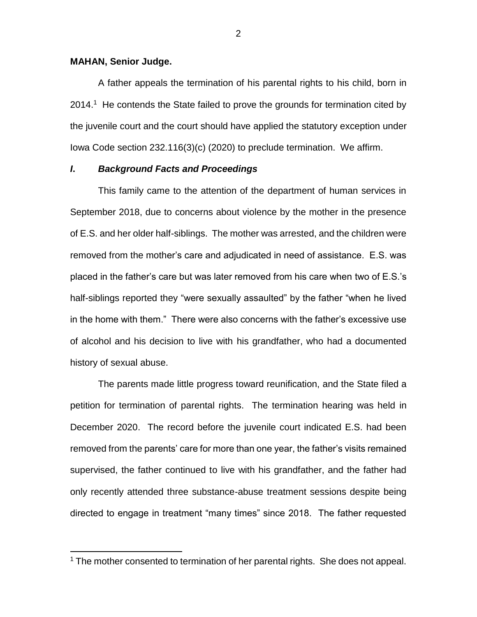## **MAHAN, Senior Judge.**

 $\overline{a}$ 

A father appeals the termination of his parental rights to his child, born in 2014.<sup>1</sup> He contends the State failed to prove the grounds for termination cited by the juvenile court and the court should have applied the statutory exception under Iowa Code section 232.116(3)(c) (2020) to preclude termination. We affirm.

## *I***.** *Background Facts and Proceedings*

This family came to the attention of the department of human services in September 2018, due to concerns about violence by the mother in the presence of E.S. and her older half-siblings. The mother was arrested, and the children were removed from the mother's care and adjudicated in need of assistance. E.S. was placed in the father's care but was later removed from his care when two of E.S.'s half-siblings reported they "were sexually assaulted" by the father "when he lived in the home with them." There were also concerns with the father's excessive use of alcohol and his decision to live with his grandfather, who had a documented history of sexual abuse.

The parents made little progress toward reunification, and the State filed a petition for termination of parental rights. The termination hearing was held in December 2020. The record before the juvenile court indicated E.S. had been removed from the parents' care for more than one year, the father's visits remained supervised, the father continued to live with his grandfather, and the father had only recently attended three substance-abuse treatment sessions despite being directed to engage in treatment "many times" since 2018. The father requested

<sup>&</sup>lt;sup>1</sup> The mother consented to termination of her parental rights. She does not appeal.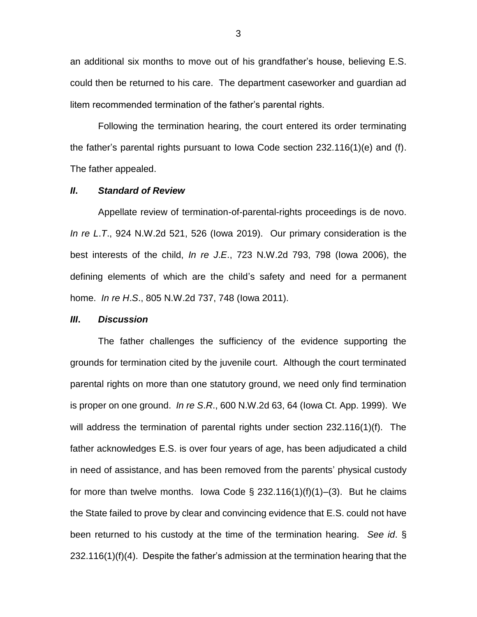an additional six months to move out of his grandfather's house, believing E.S. could then be returned to his care. The department caseworker and guardian ad litem recommended termination of the father's parental rights.

Following the termination hearing, the court entered its order terminating the father's parental rights pursuant to Iowa Code section 232.116(1)(e) and (f). The father appealed.

## *II***.** *Standard of Review*

Appellate review of termination-of-parental-rights proceedings is de novo. *In re L*.*T*., 924 N.W.2d 521, 526 (Iowa 2019). Our primary consideration is the best interests of the child, *In re J*.*E*., 723 N.W.2d 793, 798 (Iowa 2006), the defining elements of which are the child's safety and need for a permanent home. *In re H*.*S*., 805 N.W.2d 737, 748 (Iowa 2011).

#### *III***.** *Discussion*

The father challenges the sufficiency of the evidence supporting the grounds for termination cited by the juvenile court. Although the court terminated parental rights on more than one statutory ground, we need only find termination is proper on one ground. *In re S*.*R*., 600 N.W.2d 63, 64 (Iowa Ct. App. 1999). We will address the termination of parental rights under section 232.116(1)(f). The father acknowledges E.S. is over four years of age, has been adjudicated a child in need of assistance, and has been removed from the parents' physical custody for more than twelve months. Iowa Code  $\S$  232.116(1)(f)(1)–(3). But he claims the State failed to prove by clear and convincing evidence that E.S. could not have been returned to his custody at the time of the termination hearing. *See id*. § 232.116(1)(f)(4). Despite the father's admission at the termination hearing that the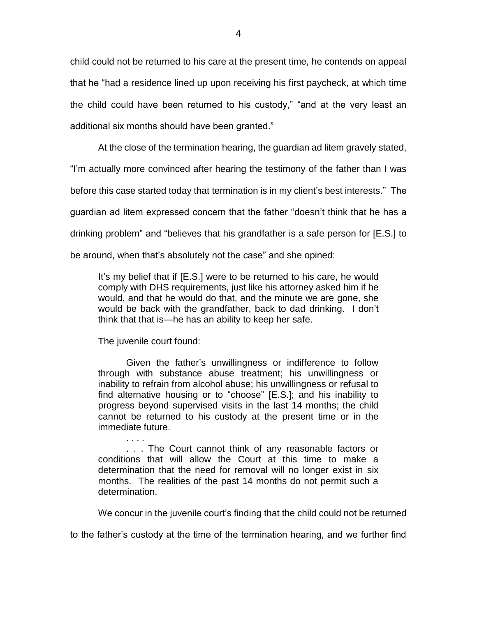child could not be returned to his care at the present time, he contends on appeal that he "had a residence lined up upon receiving his first paycheck, at which time the child could have been returned to his custody," "and at the very least an additional six months should have been granted."

At the close of the termination hearing, the guardian ad litem gravely stated,

"I'm actually more convinced after hearing the testimony of the father than I was

before this case started today that termination is in my client's best interests." The

guardian ad litem expressed concern that the father "doesn't think that he has a

drinking problem" and "believes that his grandfather is a safe person for [E.S.] to

be around, when that's absolutely not the case" and she opined:

It's my belief that if [E.S.] were to be returned to his care, he would comply with DHS requirements, just like his attorney asked him if he would, and that he would do that, and the minute we are gone, she would be back with the grandfather, back to dad drinking. I don't think that that is—he has an ability to keep her safe.

The juvenile court found:

Given the father's unwillingness or indifference to follow through with substance abuse treatment; his unwillingness or inability to refrain from alcohol abuse; his unwillingness or refusal to find alternative housing or to "choose" [E.S.]; and his inability to progress beyond supervised visits in the last 14 months; the child cannot be returned to his custody at the present time or in the immediate future.

. . . . . . . The Court cannot think of any reasonable factors or conditions that will allow the Court at this time to make a determination that the need for removal will no longer exist in six months. The realities of the past 14 months do not permit such a determination.

We concur in the juvenile court's finding that the child could not be returned

to the father's custody at the time of the termination hearing, and we further find